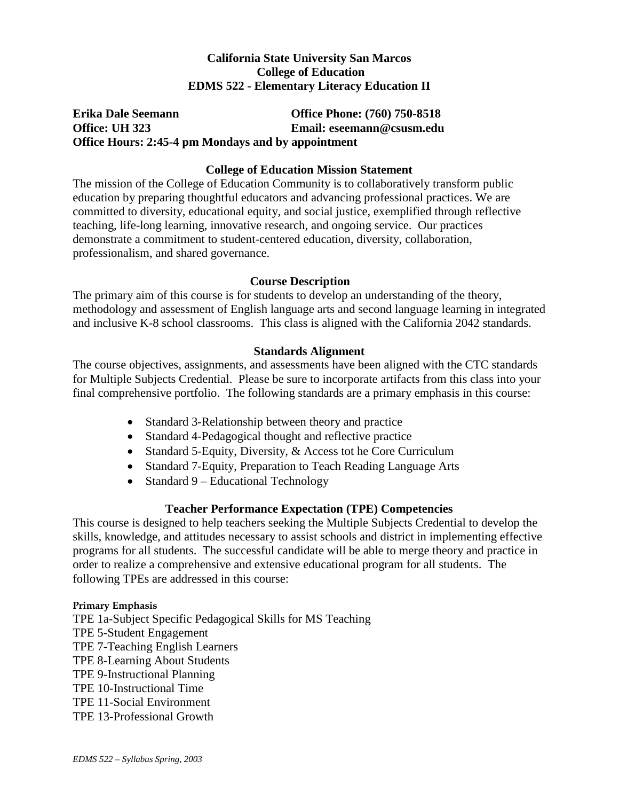# **California State University San Marcos College of Education EDMS 522 - Elementary Literacy Education II**

## **Erika Dale Seemann Office Phone: (760) 750-8518 Office: UH 323 Email: eseemann@csusm.edu Office Hours: 2:45-4 pm Mondays and by appointment**

## **College of Education Mission Statement**

The mission of the College of Education Community is to collaboratively transform public education by preparing thoughtful educators and advancing professional practices. We are committed to diversity, educational equity, and social justice, exemplified through reflective teaching, life-long learning, innovative research, and ongoing service. Our practices demonstrate a commitment to student-centered education, diversity, collaboration, professionalism, and shared governance.

### **Course Description**

The primary aim of this course is for students to develop an understanding of the theory, methodology and assessment of English language arts and second language learning in integrated and inclusive K-8 school classrooms. This class is aligned with the California 2042 standards.

## **Standards Alignment**

The course objectives, assignments, and assessments have been aligned with the CTC standards for Multiple Subjects Credential. Please be sure to incorporate artifacts from this class into your final comprehensive portfolio. The following standards are a primary emphasis in this course:

- Standard 3-Relationship between theory and practice
- Standard 4-Pedagogical thought and reflective practice
- Standard 5-Equity, Diversity, & Access tot he Core Curriculum
- Standard 7-Equity, Preparation to Teach Reading Language Arts
- Standard 9 Educational Technology

## **Teacher Performance Expectation (TPE) Competencies**

This course is designed to help teachers seeking the Multiple Subjects Credential to develop the skills, knowledge, and attitudes necessary to assist schools and district in implementing effective programs for all students. The successful candidate will be able to merge theory and practice in order to realize a comprehensive and extensive educational program for all students. The following TPEs are addressed in this course:

### **Primary Emphasis**

TPE 1a-Subject Specific Pedagogical Skills for MS Teaching TPE 5-Student Engagement TPE 7-Teaching English Learners TPE 8-Learning About Students TPE 9-Instructional Planning TPE 10-Instructional Time TPE 11-Social Environment TPE 13-Professional Growth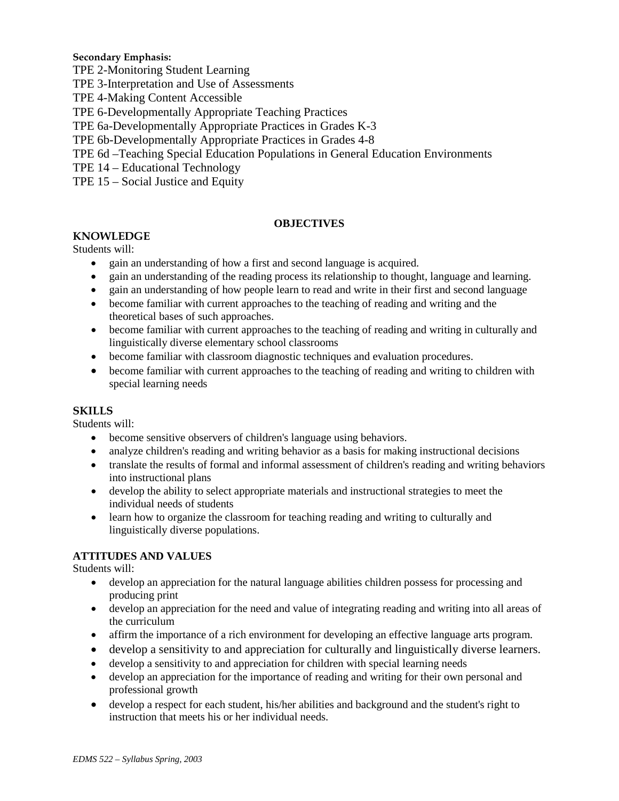#### **Secondary Emphasis:**

- TPE 2-Monitoring Student Learning
- TPE 3-Interpretation and Use of Assessments
- TPE 4-Making Content Accessible
- TPE 6-Developmentally Appropriate Teaching Practices
- TPE 6a-Developmentally Appropriate Practices in Grades K-3
- TPE 6b-Developmentally Appropriate Practices in Grades 4-8
- TPE 6d –Teaching Special Education Populations in General Education Environments
- TPE 14 Educational Technology
- TPE 15 Social Justice and Equity

#### **OBJECTIVES**

#### **KNOWLEDGE**

#### Students will:

- gain an understanding of how a first and second language is acquired.
- gain an understanding of the reading process its relationship to thought, language and learning.
- gain an understanding of how people learn to read and write in their first and second language
- become familiar with current approaches to the teaching of reading and writing and the theoretical bases of such approaches.
- become familiar with current approaches to the teaching of reading and writing in culturally and linguistically diverse elementary school classrooms
- become familiar with classroom diagnostic techniques and evaluation procedures.
- become familiar with current approaches to the teaching of reading and writing to children with special learning needs

#### **SKILLS**

Students will:

- become sensitive observers of children's language using behaviors.
- analyze children's reading and writing behavior as a basis for making instructional decisions
- translate the results of formal and informal assessment of children's reading and writing behaviors into instructional plans
- develop the ability to select appropriate materials and instructional strategies to meet the individual needs of students
- learn how to organize the classroom for teaching reading and writing to culturally and linguistically diverse populations.

#### **ATTITUDES AND VALUES**

Students will:

- develop an appreciation for the natural language abilities children possess for processing and producing print
- develop an appreciation for the need and value of integrating reading and writing into all areas of the curriculum
- affirm the importance of a rich environment for developing an effective language arts program.
- develop a sensitivity to and appreciation for culturally and linguistically diverse learners.
- develop a sensitivity to and appreciation for children with special learning needs
- develop an appreciation for the importance of reading and writing for their own personal and professional growth
- develop a respect for each student, his/her abilities and background and the student's right to instruction that meets his or her individual needs.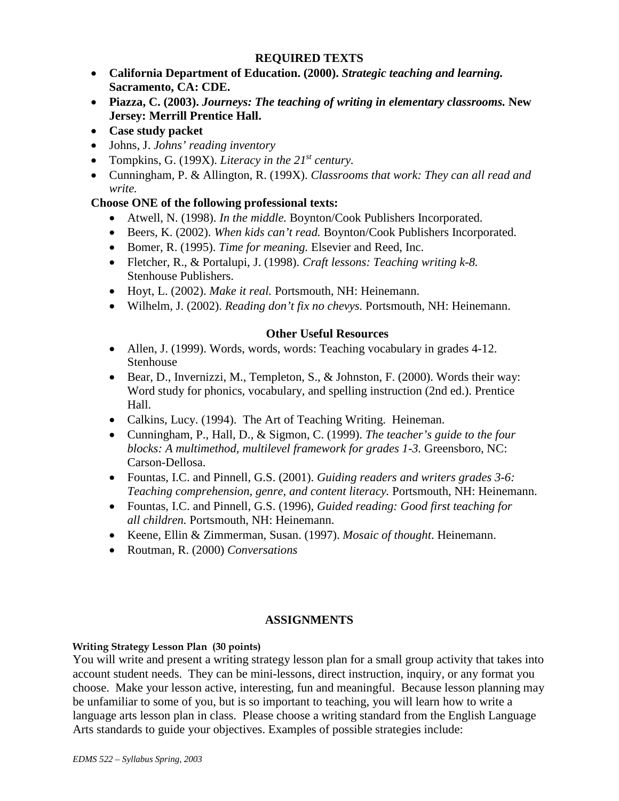## **REQUIRED TEXTS**

- **California Department of Education. (2000).** *Strategic teaching and learning.*  **Sacramento, CA: CDE.**
- **Piazza, C. (2003).** *Journeys: The teaching of writing in elementary classrooms.* **New Jersey: Merrill Prentice Hall.**
- **Case study packet**
- Johns, J. *Johns' reading inventory*
- Tompkins, G. (199X). *Literacy in the 21st century.*
- Cunningham, P. & Allington, R. (199X). *Classrooms that work: They can all read and write.*

# **Choose ONE of the following professional texts:**

- Atwell, N. (1998). *In the middle.* Boynton/Cook Publishers Incorporated.
- Beers, K. (2002). *When kids can't read.* Boynton/Cook Publishers Incorporated.
- Bomer, R. (1995). *Time for meaning.* Elsevier and Reed, Inc.
- Fletcher, R., & Portalupi, J. (1998). *Craft lessons: Teaching writing k-8.* Stenhouse Publishers.
- Hoyt, L. (2002). *Make it real.* Portsmouth, NH: Heinemann.
- Wilhelm, J. (2002). *Reading don't fix no chevys.* Portsmouth, NH: Heinemann.

## **Other Useful Resources**

- Allen, J. (1999). Words, words, words: Teaching vocabulary in grades 4-12. Stenhouse
- Bear, D., Invernizzi, M., Templeton, S., & Johnston, F. (2000). Words their way: Word study for phonics, vocabulary, and spelling instruction (2nd ed.). Prentice Hall.
- Calkins, Lucy. (1994). The Art of Teaching Writing. Heineman.
- Cunningham, P., Hall, D., & Sigmon, C. (1999). *The teacher's guide to the four blocks: A multimethod, multilevel framework for grades 1-3.* Greensboro, NC: Carson-Dellosa.
- Fountas, I.C. and Pinnell, G.S. (2001). *Guiding readers and writers grades 3-6: Teaching comprehension, genre, and content literacy.* Portsmouth, NH: Heinemann.
- Fountas, I.C. and Pinnell, G.S. (1996), *Guided reading: Good first teaching for all children.* Portsmouth, NH: Heinemann.
- Keene, Ellin & Zimmerman, Susan. (1997). *Mosaic of thought*. Heinemann.
- Routman, R. (2000) *Conversations*

## **ASSIGNMENTS**

### **Writing Strategy Lesson Plan (30 points)**

You will write and present a writing strategy lesson plan for a small group activity that takes into account student needs. They can be mini-lessons, direct instruction, inquiry, or any format you choose. Make your lesson active, interesting, fun and meaningful. Because lesson planning may be unfamiliar to some of you, but is so important to teaching, you will learn how to write a language arts lesson plan in class. Please choose a writing standard from the English Language Arts standards to guide your objectives. Examples of possible strategies include: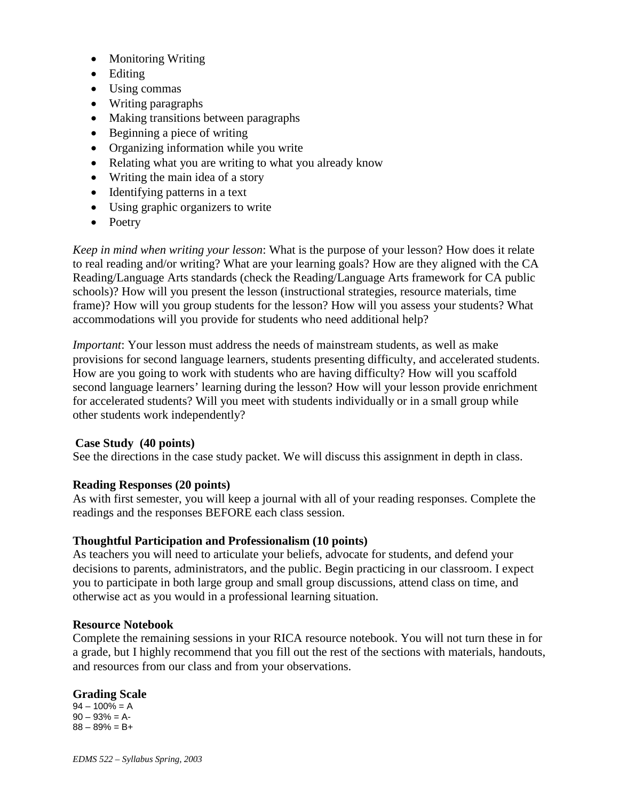- Monitoring Writing
- Editing
- Using commas
- Writing paragraphs
- Making transitions between paragraphs
- Beginning a piece of writing
- Organizing information while you write
- Relating what you are writing to what you already know
- Writing the main idea of a story
- Identifying patterns in a text
- Using graphic organizers to write
- Poetry

*Keep in mind when writing your lesson*: What is the purpose of your lesson? How does it relate to real reading and/or writing? What are your learning goals? How are they aligned with the CA Reading/Language Arts standards (check the Reading/Language Arts framework for CA public schools)? How will you present the lesson (instructional strategies, resource materials, time frame)? How will you group students for the lesson? How will you assess your students? What accommodations will you provide for students who need additional help?

*Important*: Your lesson must address the needs of mainstream students, as well as make provisions for second language learners, students presenting difficulty, and accelerated students. How are you going to work with students who are having difficulty? How will you scaffold second language learners' learning during the lesson? How will your lesson provide enrichment for accelerated students? Will you meet with students individually or in a small group while other students work independently?

### **Case Study (40 points)**

See the directions in the case study packet. We will discuss this assignment in depth in class.

### **Reading Responses (20 points)**

As with first semester, you will keep a journal with all of your reading responses. Complete the readings and the responses BEFORE each class session.

### **Thoughtful Participation and Professionalism (10 points)**

As teachers you will need to articulate your beliefs, advocate for students, and defend your decisions to parents, administrators, and the public. Begin practicing in our classroom. I expect you to participate in both large group and small group discussions, attend class on time, and otherwise act as you would in a professional learning situation.

#### **Resource Notebook**

Complete the remaining sessions in your RICA resource notebook. You will not turn these in for a grade, but I highly recommend that you fill out the rest of the sections with materials, handouts, and resources from our class and from your observations.

### **Grading Scale**

 $94 - 100\% = A$  $90 - 93\% = A$ - $88 - 89% = B +$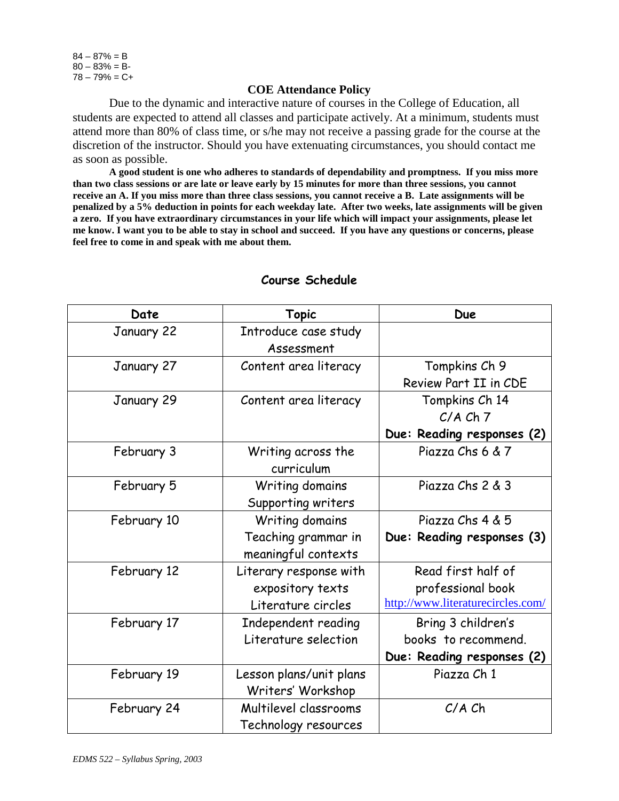$84 - 87\% = B$  $80 - 83% = B$  $78 - 79% = C +$ 

#### **COE Attendance Policy**

Due to the dynamic and interactive nature of courses in the College of Education, all students are expected to attend all classes and participate actively. At a minimum, students must attend more than 80% of class time, or s/he may not receive a passing grade for the course at the discretion of the instructor. Should you have extenuating circumstances, you should contact me as soon as possible.

**A good student is one who adheres to standards of dependability and promptness. If you miss more than two class sessions or are late or leave early by 15 minutes for more than three sessions, you cannot receive an A. If you miss more than three class sessions, you cannot receive a B. Late assignments will be penalized by a 5% deduction in points for each weekday late. After two weeks, late assignments will be given a zero. If you have extraordinary circumstances in your life which will impact your assignments, please let me know. I want you to be able to stay in school and succeed. If you have any questions or concerns, please feel free to come in and speak with me about them.**

| Date        | <b>Topic</b>            | <b>Due</b>                        |
|-------------|-------------------------|-----------------------------------|
| January 22  | Introduce case study    |                                   |
|             | Assessment              |                                   |
| January 27  | Content area literacy   | Tompkins Ch 9                     |
|             |                         | Review Part II in CDE             |
| January 29  | Content area literacy   | Tompkins Ch 14                    |
|             |                         | $C/A$ $Ch$ $7$                    |
|             |                         | Due: Reading responses (2)        |
| February 3  | Writing across the      | Piazza Chs 6 & 7                  |
|             | curriculum              |                                   |
| February 5  | Writing domains         | Piazza Chs 2 & 3                  |
|             | Supporting writers      |                                   |
| February 10 | Writing domains         | Piazza Chs 4 & 5                  |
|             | Teaching grammar in     | Due: Reading responses (3)        |
|             | meaningful contexts     |                                   |
| February 12 | Literary response with  | Read first half of                |
|             | expository texts        | professional book                 |
|             | Literature circles      | http://www.literaturecircles.com/ |
| February 17 | Independent reading     | Bring 3 children's                |
|             | Literature selection    | books to recommend.               |
|             |                         | Due: Reading responses (2)        |
| February 19 | Lesson plans/unit plans | Piazza Ch 1                       |
|             | Writers' Workshop       |                                   |
| February 24 | Multilevel classrooms   | $C/A$ $Ch$                        |
|             | Technology resources    |                                   |

#### **Course Schedule**